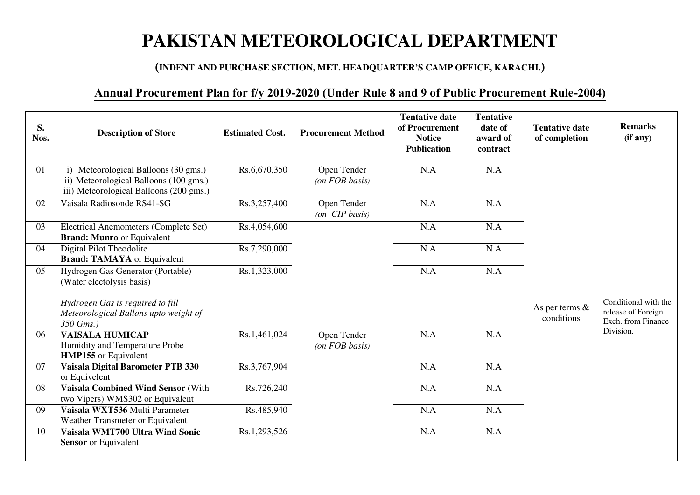## **PAKISTAN METEOROLOGICAL DEPARTMENT**

## **(INDENT AND PURCHASE SECTION, MET. HEADQUARTER'S CAMP OFFICE, KARACHI.)**

## **Annual Procurement Plan for f/y 2019-2020 (Under Rule 8 and 9 of Public Procurement Rule-2004)**

| S.<br>Nos. | <b>Description of Store</b>                                                                                               | <b>Estimated Cost.</b> | <b>Procurement Method</b>           | <b>Tentative date</b><br>of Procurement<br><b>Notice</b><br><b>Publication</b> | <b>Tentative</b><br>date of<br>award of<br>contract | <b>Tentative date</b><br>of completion | <b>Remarks</b><br>(i f any)                                      |
|------------|---------------------------------------------------------------------------------------------------------------------------|------------------------|-------------------------------------|--------------------------------------------------------------------------------|-----------------------------------------------------|----------------------------------------|------------------------------------------------------------------|
| 01         | i) Meteorological Balloons (30 gms.)<br>ii) Meteorological Balloons (100 gms.)<br>iii) Meteorological Balloons (200 gms.) | Rs.6,670,350           | Open Tender<br>$($ on FOB basis $)$ | N.A                                                                            | N.A                                                 |                                        |                                                                  |
| 02         | Vaisala Radiosonde RS41-SG                                                                                                | Rs.3,257,400           | Open Tender<br>(on CIP basis)       | N.A                                                                            | N.A                                                 |                                        |                                                                  |
| 03         | <b>Electrical Anemometers (Complete Set)</b><br><b>Brand: Munro</b> or Equivalent                                         | Rs.4,054,600           |                                     | N.A                                                                            | N.A                                                 |                                        |                                                                  |
| 04         | Digital Pilot Theodolite<br><b>Brand: TAMAYA</b> or Equivalent                                                            | Rs.7,290,000           |                                     | N.A                                                                            | N.A                                                 |                                        |                                                                  |
| 05         | Hydrogen Gas Generator (Portable)<br>(Water electolysis basis)                                                            | Rs.1,323,000           |                                     | N.A                                                                            | N.A                                                 |                                        |                                                                  |
|            | Hydrogen Gas is required to fill<br>Meteorological Ballons upto weight of<br>350 Gms.)                                    |                        |                                     |                                                                                |                                                     | As per terms $\&$<br>conditions        | Conditional with the<br>release of Foreign<br>Exch. from Finance |
| 06         | <b>VAISALA HUMICAP</b><br>Humidity and Temperature Probe<br><b>HMP155</b> or Equivalent                                   | Rs.1,461,024           | Open Tender<br>$($ on FOB basis $)$ | N.A                                                                            | N.A                                                 |                                        | Division.                                                        |
| 07         | Vaisala Digital Barometer PTB 330<br>or Equivelent                                                                        | Rs.3,767,904           |                                     | N.A                                                                            | N.A                                                 |                                        |                                                                  |
| 08         | Vaisala Combined Wind Sensor (With<br>two Vipers) WMS302 or Equivalent                                                    | Rs.726,240             |                                     | N.A                                                                            | N.A                                                 |                                        |                                                                  |
| 09         | Vaisala WXT536 Multi Parameter<br>Weather Transmeter or Equivalent                                                        | Rs.485,940             |                                     | N.A                                                                            | N.A                                                 |                                        |                                                                  |
| 10         | Vaisala WMT700 Ultra Wind Sonic<br><b>Sensor</b> or Equivalent                                                            | Rs.1,293,526           |                                     | N.A                                                                            | N.A                                                 |                                        |                                                                  |